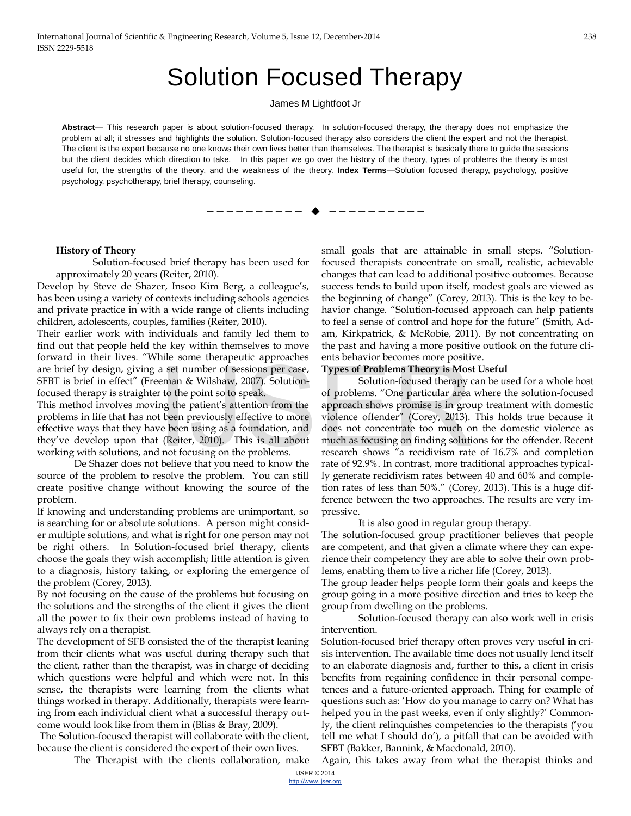# Solution Focused Therapy

#### James M Lightfoot Jr

Abstract— This research paper is about solution-focused therapy. In solution-focused therapy, the therapy does not emphasize the problem at all; it stresses and highlights the solution. Solution-focused therapy also considers the client the expert and not the therapist. The client is the expert because no one knows their own lives better than themselves. The therapist is basically there to guide the sessions but the client decides which direction to take. In this paper we go over the history of the theory, types of problems the theory is most useful for, the strengths of the theory, and the weakness of the theory. **Index Terms**—Solution focused therapy, psychology, positive psychology, psychotherapy, brief therapy, counseling.

————————— ♦ —————————

#### **History of Theory**

Solution-focused brief therapy has been used for approximately 20 years (Reiter, 2010).

Develop by Steve de Shazer, Insoo Kim Berg, a colleague's, has been using a variety of contexts including schools agencies and private practice in with a wide range of clients including children, adolescents, couples, families (Reiter, 2010).

Their earlier work with individuals and family led them to find out that people held the key within themselves to move forward in their lives. "While some therapeutic approaches are brief by design, giving a set number of sessions per case, SFBT is brief in effect" (Freeman & Wilshaw, 2007). Solutionfocused therapy is straighter to the point so to speak.

This method involves moving the patient's attention from the problems in life that has not been previously effective to more effective ways that they have been using as a foundation, and they've develop upon that (Reiter, 2010). This is all about working with solutions, and not focusing on the problems.

De Shazer does not believe that you need to know the source of the problem to resolve the problem. You can still create positive change without knowing the source of the problem.

If knowing and understanding problems are unimportant, so is searching for or absolute solutions. A person might consider multiple solutions, and what is right for one person may not be right others. In Solution-focused brief therapy, clients choose the goals they wish accomplish; little attention is given to a diagnosis, history taking, or exploring the emergence of the problem (Corey, 2013).

By not focusing on the cause of the problems but focusing on the solutions and the strengths of the client it gives the client all the power to fix their own problems instead of having to always rely on a therapist.

The development of SFB consisted the of the therapist leaning from their clients what was useful during therapy such that the client, rather than the therapist, was in charge of deciding which questions were helpful and which were not. In this sense, the therapists were learning from the clients what things worked in therapy. Additionally, therapists were learning from each individual client what a successful therapy outcome would look like from them in (Bliss & Bray, 2009).

The Solution-focused therapist will collaborate with the client, because the client is considered the expert of their own lives.

The Therapist with the clients collaboration, make

small goals that are attainable in small steps. "Solutionfocused therapists concentrate on small, realistic, achievable changes that can lead to additional positive outcomes. Because success tends to build upon itself, modest goals are viewed as the beginning of change" (Corey, 2013). This is the key to behavior change. "Solution-focused approach can help patients to feel a sense of control and hope for the future" (Smith, Adam, Kirkpatrick, & McRobie, 2011). By not concentrating on the past and having a more positive outlook on the future clients behavior becomes more positive.

#### **Types of Problems Theory is Most Useful**

Solution-focused therapy can be used for a whole host of problems. "One particular area where the solution-focused approach shows promise is in group treatment with domestic violence offender" (Corey, 2013). This holds true because it does not concentrate too much on the domestic violence as much as focusing on finding solutions for the offender. Recent research shows "a recidivism rate of 16.7% and completion rate of 92.9%. In contrast, more traditional approaches typically generate recidivism rates between 40 and 60% and completion rates of less than 50%." (Corey, 2013). This is a huge difference between the two approaches. The results are very impressive. a set number of sessions per case, **Types of Problems Theory is Mos**<br>eman & Wilshaw, 2007). Solution-<br>r to the point so to speak. Solution-focused therapy of<br>problems. "One particular area<br>ng the patient's attention from t

It is also good in regular group therapy.

The solution-focused group practitioner believes that people are competent, and that given a climate where they can experience their competency they are able to solve their own problems, enabling them to live a richer life (Corey, 2013).

The group leader helps people form their goals and keeps the group going in a more positive direction and tries to keep the group from dwelling on the problems.

Solution-focused therapy can also work well in crisis intervention.

Solution-focused brief therapy often proves very useful in crisis intervention. The available time does not usually lend itself to an elaborate diagnosis and, further to this, a client in crisis benefits from regaining confidence in their personal competences and a future-oriented approach. Thing for example of questions such as: 'How do you manage to carry on? What has helped you in the past weeks, even if only slightly?' Commonly, the client relinquishes competencies to the therapists ('you tell me what I should do'), a pitfall that can be avoided with SFBT (Bakker, Bannink, & Macdonald, 2010).

Again, this takes away from what the therapist thinks and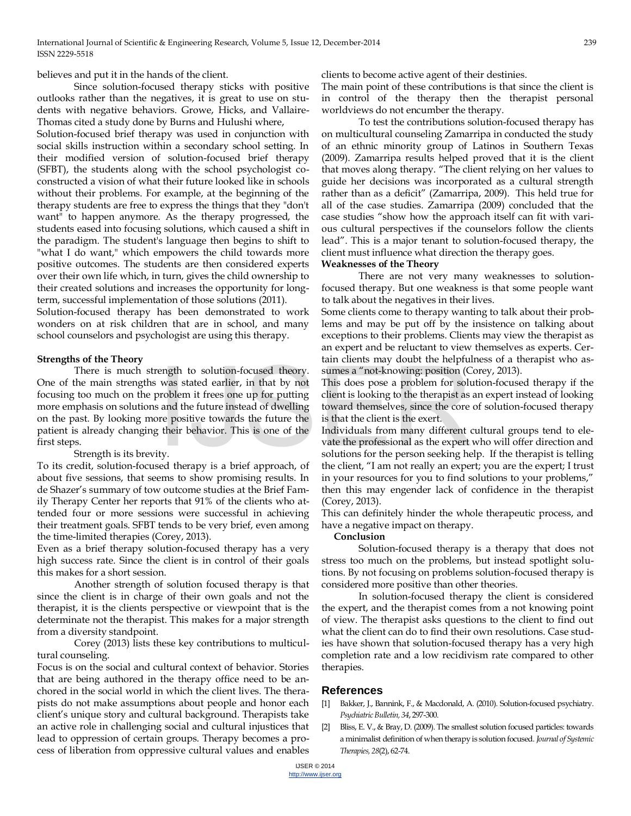believes and put it in the hands of the client.

Since solution-focused therapy sticks with positive outlooks rather than the negatives, it is great to use on students with negative behaviors. Growe, Hicks, and Vallaire-Thomas cited a study done by Burns and Hulushi where,

Solution-focused brief therapy was used in conjunction with social skills instruction within a secondary school setting. In their modified version of solution-focused brief therapy (SFBT), the students along with the school psychologist coconstructed a vision of what their future looked like in schools without their problems. For example, at the beginning of the therapy students are free to express the things that they "don't want" to happen anymore. As the therapy progressed, the students eased into focusing solutions, which caused a shift in the paradigm. The student's language then begins to shift to "what I do want," which empowers the child towards more positive outcomes. The students are then considered experts over their own life which, in turn, gives the child ownership to their created solutions and increases the opportunity for longterm, successful implementation of those solutions (2011).

Solution-focused therapy has been demonstrated to work wonders on at risk children that are in school, and many school counselors and psychologist are using this therapy.

# **Strengths of the Theory**

There is much strength to solution-focused theory. One of the main strengths was stated earlier, in that by not focusing too much on the problem it frees one up for putting more emphasis on solutions and the future instead of dwelling on the past. By looking more positive towards the future the patient is already changing their behavior. This is one of the first steps. ength to solution-focused theory. sumes a "not-knowing: position (C<br>was stated earlier, in that by not This does pose a problem for solut<br>problem it frees one up for putting client is looking to the therapist as<br>and the fu

Strength is its brevity.

To its credit, solution-focused therapy is a brief approach, of about five sessions, that seems to show promising results. In de Shazer's summary of tow outcome studies at the Brief Family Therapy Center her reports that 91% of the clients who attended four or more sessions were successful in achieving their treatment goals. SFBT tends to be very brief, even among the time-limited therapies (Corey, 2013).

Even as a brief therapy solution-focused therapy has a very high success rate. Since the client is in control of their goals this makes for a short session.

Another strength of solution focused therapy is that since the client is in charge of their own goals and not the therapist, it is the clients perspective or viewpoint that is the determinate not the therapist. This makes for a major strength from a diversity standpoint.

Corey (2013) lists these key contributions to multicultural counseling.

Focus is on the social and cultural context of behavior. Stories that are being authored in the therapy office need to be anchored in the social world in which the client lives. The therapists do not make assumptions about people and honor each client's unique story and cultural background. Therapists take an active role in challenging social and cultural injustices that lead to oppression of certain groups. Therapy becomes a process of liberation from oppressive cultural values and enables

clients to become active agent of their destinies.

The main point of these contributions is that since the client is in control of the therapy then the therapist personal worldviews do not encumber the therapy.

To test the contributions solution-focused therapy has on multicultural counseling Zamarripa in conducted the study of an ethnic minority group of Latinos in Southern Texas (2009). Zamarripa results helped proved that it is the client that moves along therapy. "The client relying on her values to guide her decisions was incorporated as a cultural strength rather than as a deficit" (Zamarripa, 2009). This held true for all of the case studies. Zamarripa (2009) concluded that the case studies "show how the approach itself can fit with various cultural perspectives if the counselors follow the clients lead". This is a major tenant to solution-focused therapy, the client must influence what direction the therapy goes.

# **Weaknesses of the Theory**

There are not very many weaknesses to solutionfocused therapy. But one weakness is that some people want to talk about the negatives in their lives.

Some clients come to therapy wanting to talk about their problems and may be put off by the insistence on talking about exceptions to their problems. Clients may view the therapist as an expert and be reluctant to view themselves as experts. Certain clients may doubt the helpfulness of a therapist who assumes a "not-knowing: position (Corey, 2013).

This does pose a problem for solution-focused therapy if the client is looking to the therapist as an expert instead of looking toward themselves, since the core of solution-focused therapy is that the client is the exert.

Individuals from many different cultural groups tend to elevate the professional as the expert who will offer direction and solutions for the person seeking help. If the therapist is telling the client, "I am not really an expert; you are the expert; I trust in your resources for you to find solutions to your problems," then this may engender lack of confidence in the therapist (Corey, 2013).

This can definitely hinder the whole therapeutic process, and have a negative impact on therapy.

### **Conclusion**

Solution-focused therapy is a therapy that does not stress too much on the problems, but instead spotlight solutions. By not focusing on problems solution-focused therapy is considered more positive than other theories.

In solution-focused therapy the client is considered the expert, and the therapist comes from a not knowing point of view. The therapist asks questions to the client to find out what the client can do to find their own resolutions. Case studies have shown that solution-focused therapy has a very high completion rate and a low recidivism rate compared to other therapies.

# **References**

- [1] Bakker, J., Bannink, F., & Macdonald, A. (2010). Solution-focused psychiatry. *Psychiatric Bulletin, 34*, 297-300.
- [2] Bliss, E. V., & Bray, D. (2009). The smallest solution focused particles: towards a minimalist definition of when therapy is solution focused. *Journal of Systemic Therapies, 28*(2), 62-74.